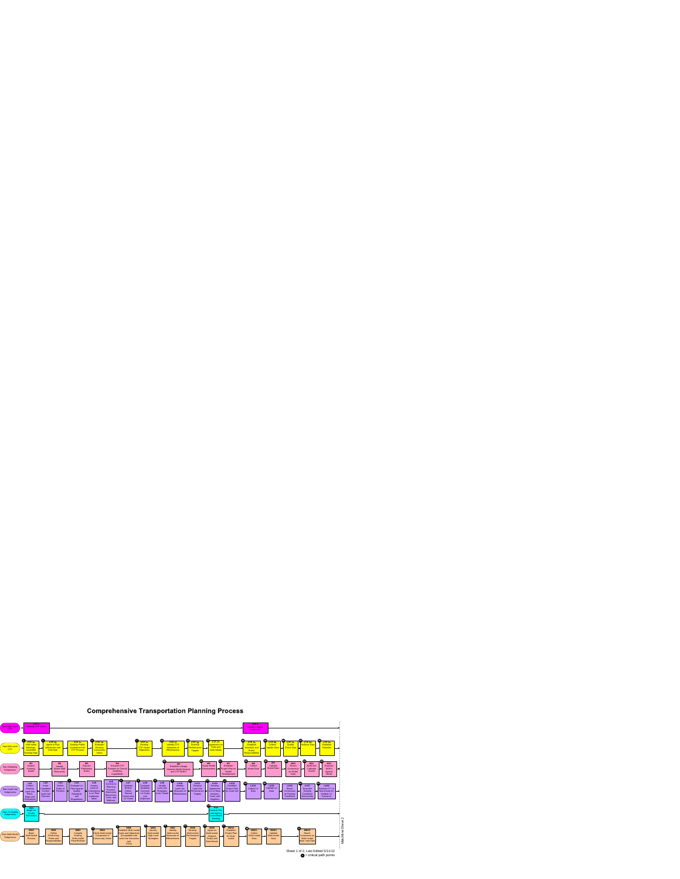## **Comprehensive Transportation Planning Process**